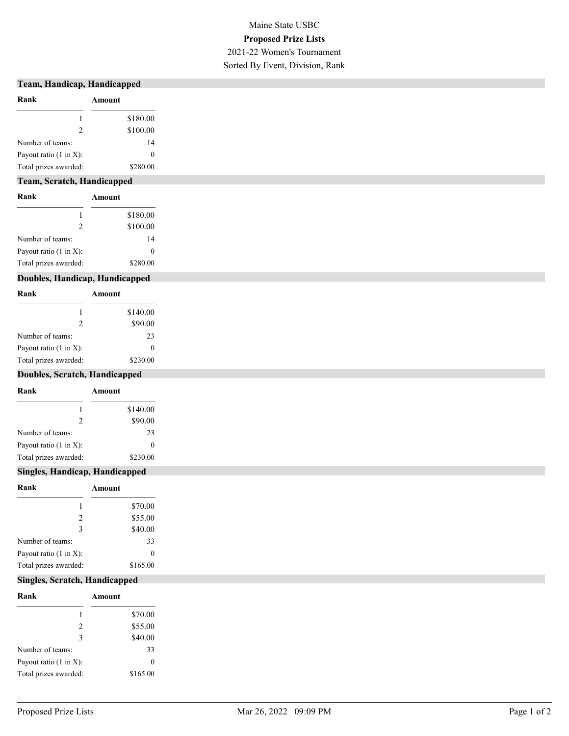#### Team, Handicap, Handicapped

| Rank                               | Amount   |
|------------------------------------|----------|
|                                    | \$180.00 |
| $\mathcal{P}$                      | \$100.00 |
| Number of teams:                   | 14       |
| Payout ratio $(1 \text{ in } X)$ : | 0        |
| Total prizes awarded:              | \$280.00 |

#### Team, Scratch, Handicapped

| Rank                               | Amount   |
|------------------------------------|----------|
|                                    | \$180.00 |
| $\mathcal{P}$                      | \$100.00 |
| Number of teams:                   | 14       |
| Payout ratio $(1 \text{ in } X)$ : | $\theta$ |
| Total prizes awarded:              | \$280.00 |

### Doubles, Handicap, Handicapped

| Rank                   | Amount           |
|------------------------|------------------|
|                        | \$140.00         |
| $\mathfrak{D}$         | \$90.00          |
| Number of teams:       | 23               |
| Payout ratio (1 in X): | $\left( \right)$ |
| Total prizes awarded:  | \$230.00         |

#### Doubles, Scratch, Handicapped

| Rank                               | Amount   |
|------------------------------------|----------|
|                                    | \$140.00 |
|                                    | \$90.00  |
| Number of teams:                   | 23       |
| Payout ratio $(1 \text{ in } X)$ : |          |
| Total prizes awarded:              | \$230.00 |

#### Singles, Handicap, Handicapped

| Rank                               | Amount   |
|------------------------------------|----------|
|                                    | \$70.00  |
| $\mathcal{L}$                      | \$55.00  |
| 3                                  | \$40.00  |
| Number of teams:                   | 33       |
| Payout ratio $(1 \text{ in } X)$ : | 0        |
| Total prizes awarded:              | \$165.00 |

#### Singles, Scratch, Handicapped

| Rank                               | Amount   |
|------------------------------------|----------|
|                                    | \$70.00  |
| $\mathcal{L}$                      | \$55.00  |
| 3                                  | \$40.00  |
| Number of teams:                   | 33       |
| Payout ratio $(1 \text{ in } X)$ : | 0        |
| Total prizes awarded:              | \$165.00 |